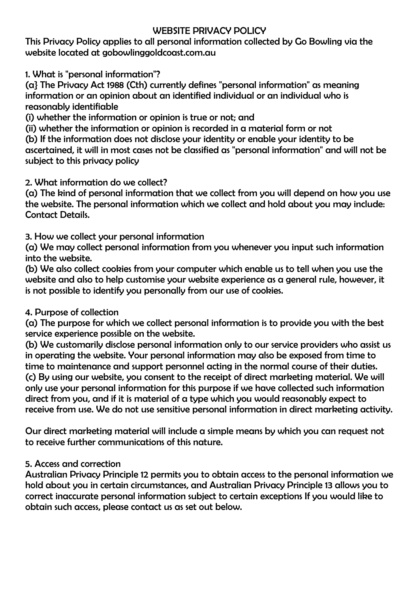# WEBSITE PRIVACY POLICY

This Privacy Policy applies to all personal information collected by Go Bowling via the website located at gobowlinggoldcoast.com.au

1. What is "personal information"?

(a} The Privacy Act 1988 (Cth) currently defines "personal information" as meaning information or an opinion about an identified individual or an individual who is reasonably identifiable

(i) whether the information or opinion is true or not; and

(ii) whether the information or opinion is recorded in a material form or not

(b) If the information does not disclose your identity or enable your identity to be ascertained, it will in most cases not be classified as "personal information" and will not be subject to this privacy policy

# 2. What information do we collect?

(a) The kind of personal information that we collect from you will depend on how you use the website. The personal information which we collect and hold about you may include: Contact Details.

3. How we collect your personal information

(a) We may collect personal information from you whenever you input such information into the website.

(b) We also collect cookies from your computer which enable us to tell when you use the website and also to help customise your website experience as a general rule, however, it is not possible to identify you personally from our use of cookies.

# 4. Purpose of collection

(a) The purpose for which we collect personal information is to provide you with the best service experience possible on the website.

(b) We customarily disclose personal information only to our service providers who assist us in operating the website. Your personal information may also be exposed from time to time to maintenance and support personnel acting in the normal course of their duties. (c) By using our website, you consent to the receipt of direct marketing material. We will only use your personal information for this purpose if we have collected such information direct from you, and if it is material of a type which you would reasonably expect to receive from use. We do not use sensitive personal information in direct marketing activity.

Our direct marketing material will include a simple means by which you can request not to receive further communications of this nature.

# 5. Access and correction

Australian Privacy Principle 12 permits you to obtain access to the personal information we hold about you in certain circumstances, and Australian Privacy Principle 13 allows you to correct inaccurate personal information subject to certain exceptions If you would like to obtain such access, please contact us as set out below.